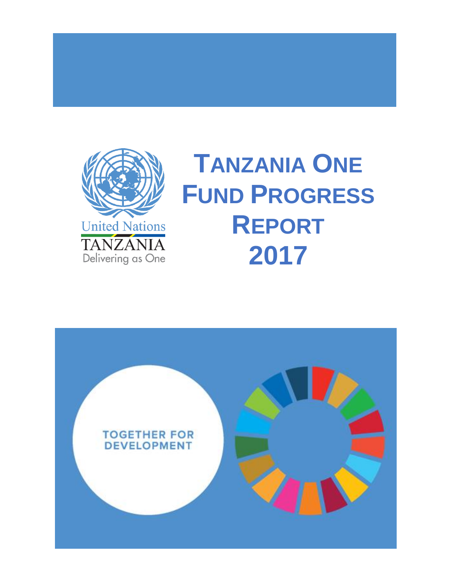

# **TANZANIA ONE FUND PROGRESS REPORT 2017**

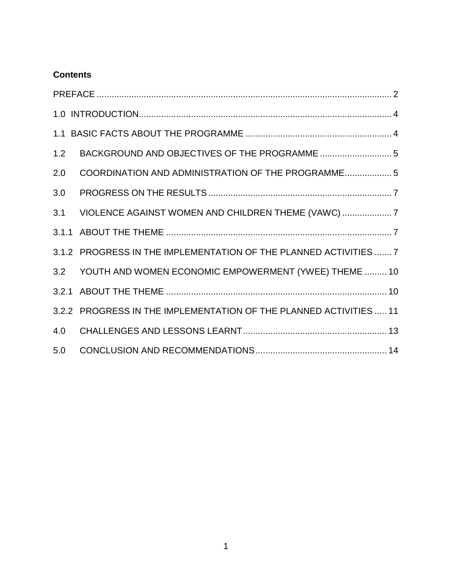# **Contents**

| 1.2 |                                                                    |  |  |
|-----|--------------------------------------------------------------------|--|--|
| 2.0 | COORDINATION AND ADMINISTRATION OF THE PROGRAMME 5                 |  |  |
| 3.0 |                                                                    |  |  |
| 3.1 | VIOLENCE AGAINST WOMEN AND CHILDREN THEME (VAWC)                   |  |  |
|     |                                                                    |  |  |
|     | 3.1.2 PROGRESS IN THE IMPLEMENTATION OF THE PLANNED ACTIVITIES  7  |  |  |
|     | 3.2 YOUTH AND WOMEN ECONOMIC EMPOWERMENT (YWEE) THEME  10          |  |  |
|     |                                                                    |  |  |
|     | 3.2.2 PROGRESS IN THE IMPLEMENTATION OF THE PLANNED ACTIVITIES  11 |  |  |
| 4.0 |                                                                    |  |  |
| 5.0 |                                                                    |  |  |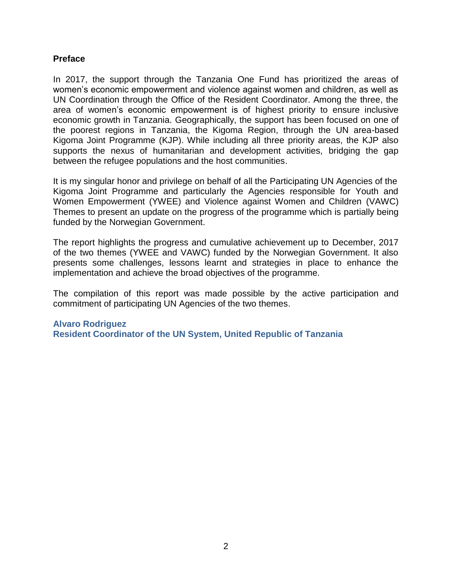#### <span id="page-2-0"></span>**Preface**

In 2017, the support through the Tanzania One Fund has prioritized the areas of women's economic empowerment and violence against women and children, as well as UN Coordination through the Office of the Resident Coordinator. Among the three, the area of women's economic empowerment is of highest priority to ensure inclusive economic growth in Tanzania. Geographically, the support has been focused on one of the poorest regions in Tanzania, the Kigoma Region, through the UN area-based Kigoma Joint Programme (KJP). While including all three priority areas, the KJP also supports the nexus of humanitarian and development activities, bridging the gap between the refugee populations and the host communities.

It is my singular honor and privilege on behalf of all the Participating UN Agencies of the Kigoma Joint Programme and particularly the Agencies responsible for Youth and Women Empowerment (YWEE) and Violence against Women and Children (VAWC) Themes to present an update on the progress of the programme which is partially being funded by the Norwegian Government.

The report highlights the progress and cumulative achievement up to December, 2017 of the two themes (YWEE and VAWC) funded by the Norwegian Government. It also presents some challenges, lessons learnt and strategies in place to enhance the implementation and achieve the broad objectives of the programme.

The compilation of this report was made possible by the active participation and commitment of participating UN Agencies of the two themes.

#### **Alvaro Rodriguez Resident Coordinator of the UN System, United Republic of Tanzania**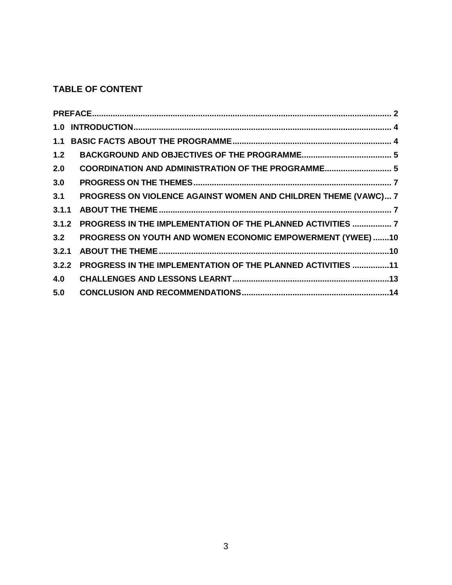# **TABLE OF CONTENT**

| 1.2   |                                                                |  |
|-------|----------------------------------------------------------------|--|
| 2.0   | COORDINATION AND ADMINISTRATION OF THE PROGRAMME 5             |  |
| 3.0   |                                                                |  |
| 3.1   | PROGRESS ON VIOLENCE AGAINST WOMEN AND CHILDREN THEME (VAWC) 7 |  |
| 3.1.1 |                                                                |  |
| 3.1.2 | PROGRESS IN THE IMPLEMENTATION OF THE PLANNED ACTIVITIES  7    |  |
| 3.2   | PROGRESS ON YOUTH AND WOMEN ECONOMIC EMPOWERMENT (YWEE) 10     |  |
| 3.2.1 |                                                                |  |
| 3.2.2 | PROGRESS IN THE IMPLEMENTATION OF THE PLANNED ACTIVITIES 11    |  |
| 4.0   |                                                                |  |
| 5.0   |                                                                |  |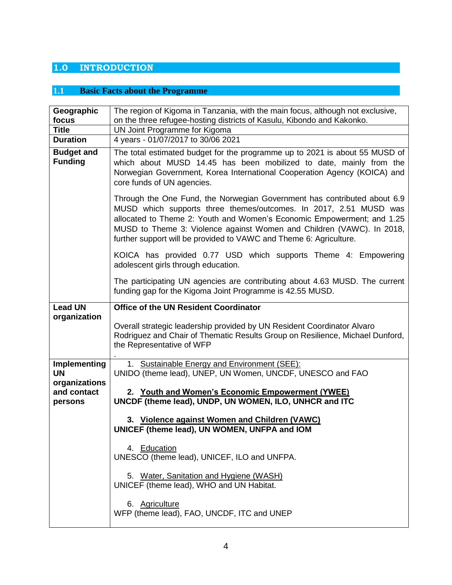# <span id="page-4-0"></span>**1.0 INTRODUCTION**

# <span id="page-4-1"></span>**1.1 Basic Facts about the Programme**

| Geographic<br>focus                 | The region of Kigoma in Tanzania, with the main focus, although not exclusive,<br>on the three refugee-hosting districts of Kasulu, Kibondo and Kakonko.                                                                                                                                                                                                               |
|-------------------------------------|------------------------------------------------------------------------------------------------------------------------------------------------------------------------------------------------------------------------------------------------------------------------------------------------------------------------------------------------------------------------|
| <b>Title</b>                        | UN Joint Programme for Kigoma                                                                                                                                                                                                                                                                                                                                          |
| <b>Duration</b>                     | 4 years - 01/07/2017 to 30/06 2021                                                                                                                                                                                                                                                                                                                                     |
| <b>Budget and</b><br><b>Funding</b> | The total estimated budget for the programme up to 2021 is about 55 MUSD of<br>which about MUSD 14.45 has been mobilized to date, mainly from the<br>Norwegian Government, Korea International Cooperation Agency (KOICA) and<br>core funds of UN agencies.                                                                                                            |
|                                     | Through the One Fund, the Norwegian Government has contributed about 6.9<br>MUSD which supports three themes/outcomes. In 2017, 2.51 MUSD was<br>allocated to Theme 2: Youth and Women's Economic Empowerment; and 1.25<br>MUSD to Theme 3: Violence against Women and Children (VAWC). In 2018,<br>further support will be provided to VAWC and Theme 6: Agriculture. |
|                                     | KOICA has provided 0.77 USD which supports Theme 4: Empowering<br>adolescent girls through education.                                                                                                                                                                                                                                                                  |
|                                     | The participating UN agencies are contributing about 4.63 MUSD. The current<br>funding gap for the Kigoma Joint Programme is 42.55 MUSD.                                                                                                                                                                                                                               |
| <b>Lead UN</b>                      | <b>Office of the UN Resident Coordinator</b>                                                                                                                                                                                                                                                                                                                           |
| organization                        | Overall strategic leadership provided by UN Resident Coordinator Alvaro<br>Rodriguez and Chair of Thematic Results Group on Resilience, Michael Dunford,<br>the Representative of WFP                                                                                                                                                                                  |
| Implementing                        | 1. Sustainable Energy and Environment (SEE):                                                                                                                                                                                                                                                                                                                           |
| <b>UN</b><br>organizations          | UNIDO (theme lead), UNEP, UN Women, UNCDF, UNESCO and FAO                                                                                                                                                                                                                                                                                                              |
| and contact<br>persons              | 2. Youth and Women's Economic Empowerment (YWEE)<br>UNCDF (theme lead), UNDP, UN WOMEN, ILO, UNHCR and ITC                                                                                                                                                                                                                                                             |
|                                     | 3. Violence against Women and Children (VAWC)<br>UNICEF (theme lead), UN WOMEN, UNFPA and IOM                                                                                                                                                                                                                                                                          |
|                                     | 4. Education<br>UNESCO (theme lead), UNICEF, ILO and UNFPA.                                                                                                                                                                                                                                                                                                            |
|                                     | 5. Water, Sanitation and Hygiene (WASH)<br>UNICEF (theme lead), WHO and UN Habitat.                                                                                                                                                                                                                                                                                    |
|                                     | 6. Agriculture<br>WFP (theme lead), FAO, UNCDF, ITC and UNEP                                                                                                                                                                                                                                                                                                           |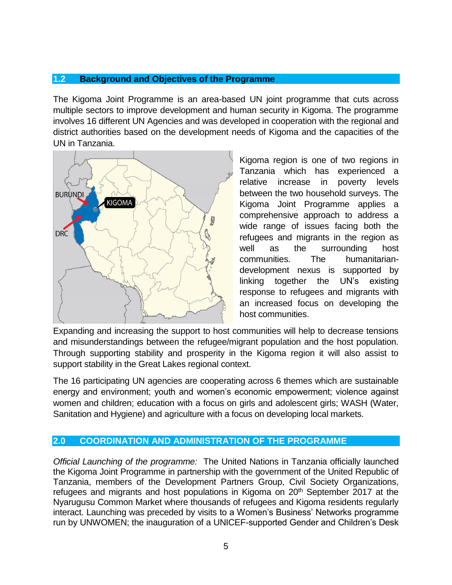#### <span id="page-5-0"></span>**1.2 Background and Objectives of the Programme**

The Kigoma Joint Programme is an area-based UN joint programme that cuts across multiple sectors to improve development and human security in Kigoma. The programme involves 16 different UN Agencies and was developed in cooperation with the regional and district authorities based on the development needs of Kigoma and the capacities of the UN in Tanzania.



Kigoma region is one of two regions in Tanzania which has experienced a relative increase in poverty levels between the two household surveys. The Kigoma Joint Programme applies a comprehensive approach to address a wide range of issues facing both the refugees and migrants in the region as well as the surrounding host communities. The humanitariandevelopment nexus is supported by linking together the UN's existing response to refugees and migrants with an increased focus on developing the host communities.

Expanding and increasing the support to host communities will help to decrease tensions and misunderstandings between the refugee/migrant population and the host population. Through supporting stability and prosperity in the Kigoma region it will also assist to support stability in the Great Lakes regional context.

The 16 participating UN agencies are cooperating across 6 themes which are sustainable energy and environment; youth and women's economic empowerment; violence against women and children; education with a focus on girls and adolescent girls; WASH (Water, Sanitation and Hygiene) and agriculture with a focus on developing local markets.

#### <span id="page-5-1"></span>**2.0 COORDINATION AND ADMINISTRATION OF THE PROGRAMME**

*Official Launching of the programme:* The United Nations in Tanzania officially launched the Kigoma Joint Programme in partnership with the government of the United Republic of Tanzania, members of the Development Partners Group, Civil Society Organizations, refugees and migrants and host populations in Kigoma on 20<sup>th</sup> September 2017 at the Nyarugusu Common Market where thousands of refugees and Kigoma residents regularly interact. Launching was preceded by visits to a Women's Business' Networks programme run by UNWOMEN; the inauguration of a UNICEF-supported Gender and Children's Desk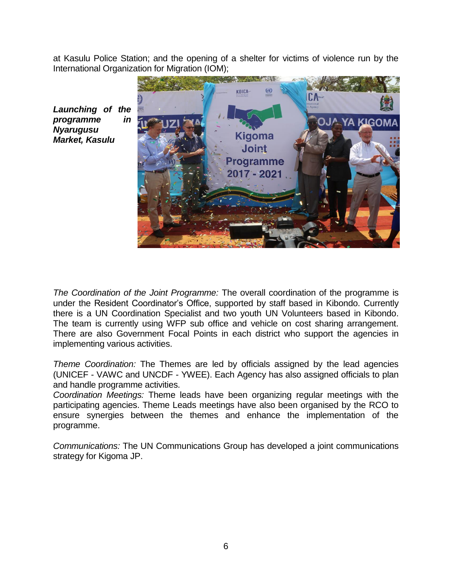at Kasulu Police Station; and the opening of a shelter for victims of violence run by the International Organization for Migration (IOM);



*Launching of the programme in Nyarugusu Market, Kasulu*

*The Coordination of the Joint Programme:* The overall coordination of the programme is under the Resident Coordinator's Office, supported by staff based in Kibondo. Currently there is a UN Coordination Specialist and two youth UN Volunteers based in Kibondo. The team is currently using WFP sub office and vehicle on cost sharing arrangement. There are also Government Focal Points in each district who support the agencies in implementing various activities.

*Theme Coordination:* The Themes are led by officials assigned by the lead agencies (UNICEF - VAWC and UNCDF - YWEE). Each Agency has also assigned officials to plan and handle programme activities.

*Coordination Meetings:* Theme leads have been organizing regular meetings with the participating agencies. Theme Leads meetings have also been organised by the RCO to ensure synergies between the themes and enhance the implementation of the programme.

*Communications:* The UN Communications Group has developed a joint communications strategy for Kigoma JP.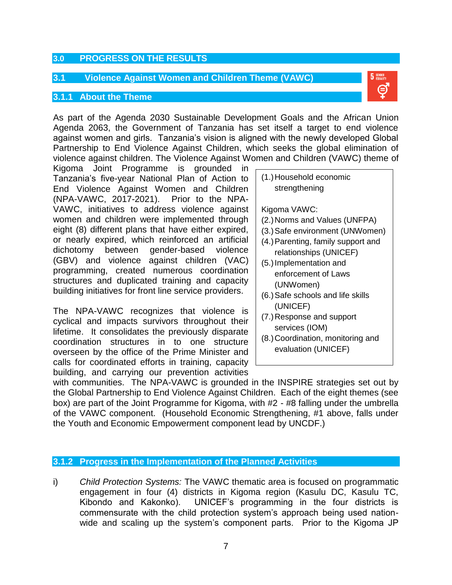#### <span id="page-7-0"></span>**3.0 PROGRESS ON THE RESULTS**

#### <span id="page-7-1"></span>**3.1 Violence Against Women and Children Theme (VAWC)**

#### <span id="page-7-2"></span>**3.1.1 About the Theme**

As part of the Agenda 2030 Sustainable Development Goals and the African Union Agenda 2063, the Government of Tanzania has set itself a target to end violence against women and girls. Tanzania's vision is aligned with the newly developed Global Partnership to End Violence Against Children, which seeks the global elimination of violence against children. The Violence Against Women and Children (VAWC) theme of

Kigoma Joint Programme is grounded in Tanzania's five-year National Plan of Action to End Violence Against Women and Children (NPA-VAWC, 2017-2021). Prior to the NPA-VAWC, initiatives to address violence against women and children were implemented through eight (8) different plans that have either expired, or nearly expired, which reinforced an artificial dichotomy between gender-based violence (GBV) and violence against children (VAC) programming, created numerous coordination structures and duplicated training and capacity building initiatives for front line service providers.

The NPA-VAWC recognizes that violence is cyclical and impacts survivors throughout their lifetime. It consolidates the previously disparate coordination structures in to one structure overseen by the office of the Prime Minister and calls for coordinated efforts in training, capacity building, and carrying our prevention activities

(1.)Household economic strengthening

Kigoma VAWC:

- (2.)Norms and Values (UNFPA)
- (3.)Safe environment (UNWomen)
- (4.)Parenting, family support and relationships (UNICEF)
- (5.)Implementation and enforcement of Laws (UNWomen)
- (6.)Safe schools and life skills (UNICEF)
- (7.)Response and support services (IOM)
- (8.)Coordination, monitoring and evaluation (UNICEF)

with communities. The NPA-VAWC is grounded in the INSPIRE strategies set out by the Global Partnership to End Violence Against Children. Each of the eight themes (see box) are part of the Joint Programme for Kigoma, with #2 - #8 falling under the umbrella of the VAWC component. (Household Economic Strengthening, #1 above, falls under the Youth and Economic Empowerment component lead by UNCDF.)

#### <span id="page-7-3"></span>**3.1.2 Progress in the Implementation of the Planned Activities**

i) *Child Protection Systems:* The VAWC thematic area is focused on programmatic engagement in four (4) districts in Kigoma region (Kasulu DC, Kasulu TC, Kibondo and Kakonko). UNICEF's programming in the four districts is commensurate with the child protection system's approach being used nationwide and scaling up the system's component parts. Prior to the Kigoma JP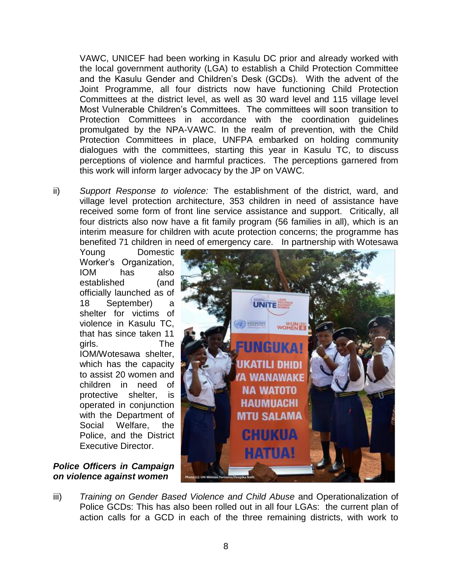VAWC, UNICEF had been working in Kasulu DC prior and already worked with the local government authority (LGA) to establish a Child Protection Committee and the Kasulu Gender and Children's Desk (GCDs). With the advent of the Joint Programme, all four districts now have functioning Child Protection Committees at the district level, as well as 30 ward level and 115 village level Most Vulnerable Children's Committees. The committees will soon transition to Protection Committees in accordance with the coordination guidelines promulgated by the NPA-VAWC. In the realm of prevention, with the Child Protection Committees in place, UNFPA embarked on holding community dialogues with the committees, starting this year in Kasulu TC, to discuss perceptions of violence and harmful practices. The perceptions garnered from this work will inform larger advocacy by the JP on VAWC.

ii) *Support Response to violence:* The establishment of the district, ward, and village level protection architecture, 353 children in need of assistance have received some form of front line service assistance and support. Critically, all four districts also now have a fit family program (56 families in all), which is an interim measure for children with acute protection concerns; the programme has benefited 71 children in need of emergency care. In partnership with Wotesawa

Young Domestic Worker's Organization, IOM has also established (and officially launched as of 18 September) a shelter for victims of violence in Kasulu TC, that has since taken 11 girls. The IOM/Wotesawa shelter, which has the capacity to assist 20 women and children in need of protective shelter, is operated in conjunction with the Department of Social Welfare, the Police, and the District Executive Director.

#### *Police Officers in Campaign on violence against women*



iii) *Training on Gender Based Violence and Child Abuse* and Operationalization of Police GCDs: This has also been rolled out in all four LGAs: the current plan of action calls for a GCD in each of the three remaining districts, with work to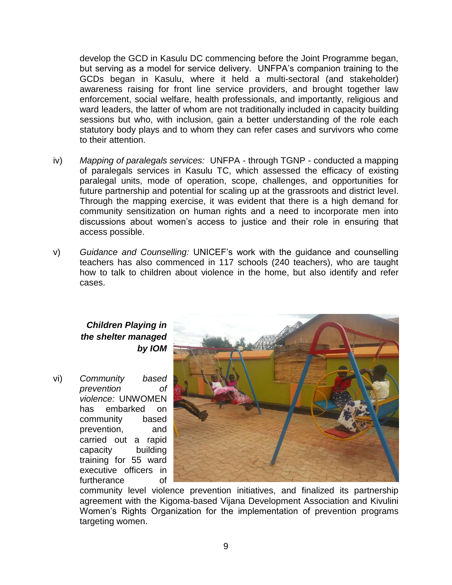develop the GCD in Kasulu DC commencing before the Joint Programme began, but serving as a model for service delivery. UNFPA's companion training to the GCDs began in Kasulu, where it held a multi-sectoral (and stakeholder) awareness raising for front line service providers, and brought together law enforcement, social welfare, health professionals, and importantly, religious and ward leaders, the latter of whom are not traditionally included in capacity building sessions but who, with inclusion, gain a better understanding of the role each statutory body plays and to whom they can refer cases and survivors who come to their attention.

- iv) *Mapping of paralegals services:* UNFPA through TGNP conducted a mapping of paralegals services in Kasulu TC, which assessed the efficacy of existing paralegal units, mode of operation, scope, challenges, and opportunities for future partnership and potential for scaling up at the grassroots and district level. Through the mapping exercise, it was evident that there is a high demand for community sensitization on human rights and a need to incorporate men into discussions about women's access to justice and their role in ensuring that access possible.
- v) *Guidance and Counselling:* UNICEF's work with the guidance and counselling teachers has also commenced in 117 schools (240 teachers), who are taught how to talk to children about violence in the home, but also identify and refer cases.

### *Children Playing in the shelter managed by IOM*

vi) *Community based prevention of violence:* UNWOMEN has embarked on community based prevention, and carried out a rapid capacity building training for 55 ward executive officers in furtherance of



community level violence prevention initiatives, and finalized its partnership agreement with the Kigoma-based Vijana Development Association and Kivulini Women's Rights Organization for the implementation of prevention programs targeting women.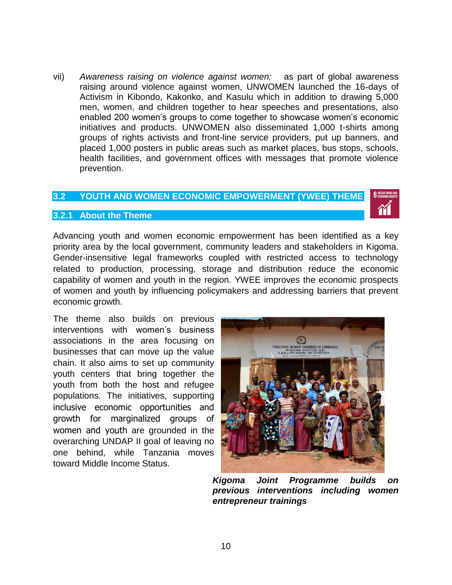vii) *Awareness raising on violence against women:* as part of global awareness raising around violence against women, UNWOMEN launched the 16-days of Activism in Kibondo, Kakonko, and Kasulu which in addition to drawing 5,000 men, women, and children together to hear speeches and presentations, also enabled 200 women's groups to come together to showcase women's economic initiatives and products. UNWOMEN also disseminated 1,000 t-shirts among groups of rights activists and front-line service providers, put up banners, and placed 1,000 posters in public areas such as market places, bus stops, schools, health facilities, and government offices with messages that promote violence prevention.

#### <span id="page-10-0"></span>**3.2 YOUTH AND WOMEN ECONOMIC EMPOWERMENT (YWEE) THEME**

#### <span id="page-10-1"></span>**3.2.1 About the Theme**

Advancing youth and women economic empowerment has been identified as a key priority area by the local government, community leaders and stakeholders in Kigoma. Gender-insensitive legal frameworks coupled with restricted access to technology related to production, processing, storage and distribution reduce the economic capability of women and youth in the region. YWEE improves the economic prospects of women and youth by influencing policymakers and addressing barriers that prevent economic growth.

The theme also builds on previous interventions with women's business associations in the area focusing on businesses that can move up the value chain. It also aims to set up community youth centers that bring together the youth from both the host and refugee populations. The initiatives, supporting inclusive economic opportunities and growth for marginalized groups of women and youth are grounded in the overarching UNDAP II goal of leaving no one behind, while Tanzania moves toward Middle Income Status.



*Kigoma Joint Programme builds on previous interventions including women entrepreneur trainings*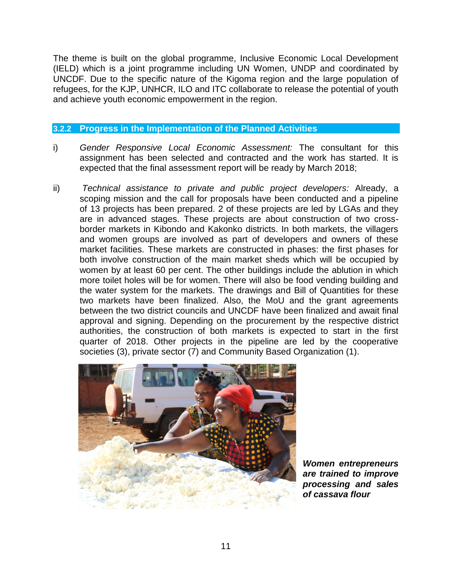The theme is built on the global programme, Inclusive Economic Local Development (IELD) which is a joint programme including UN Women, UNDP and coordinated by UNCDF. Due to the specific nature of the Kigoma region and the large population of refugees, for the KJP, UNHCR, ILO and ITC collaborate to release the potential of youth and achieve youth economic empowerment in the region.

#### <span id="page-11-0"></span>**3.2.2 Progress in the Implementation of the Planned Activities**

- i) *Gender Responsive Local Economic Assessment:* The consultant for this assignment has been selected and contracted and the work has started. It is expected that the final assessment report will be ready by March 2018;
- ii) *Technical assistance to private and public project developers:* Already, a scoping mission and the call for proposals have been conducted and a pipeline of 13 projects has been prepared. 2 of these projects are led by LGAs and they are in advanced stages. These projects are about construction of two crossborder markets in Kibondo and Kakonko districts. In both markets, the villagers and women groups are involved as part of developers and owners of these market facilities. These markets are constructed in phases: the first phases for both involve construction of the main market sheds which will be occupied by women by at least 60 per cent. The other buildings include the ablution in which more toilet holes will be for women. There will also be food vending building and the water system for the markets. The drawings and Bill of Quantities for these two markets have been finalized. Also, the MoU and the grant agreements between the two district councils and UNCDF have been finalized and await final approval and signing. Depending on the procurement by the respective district authorities, the construction of both markets is expected to start in the first quarter of 2018. Other projects in the pipeline are led by the cooperative societies (3), private sector (7) and Community Based Organization (1).



*Women entrepreneurs are trained to improve processing and sales of cassava flour*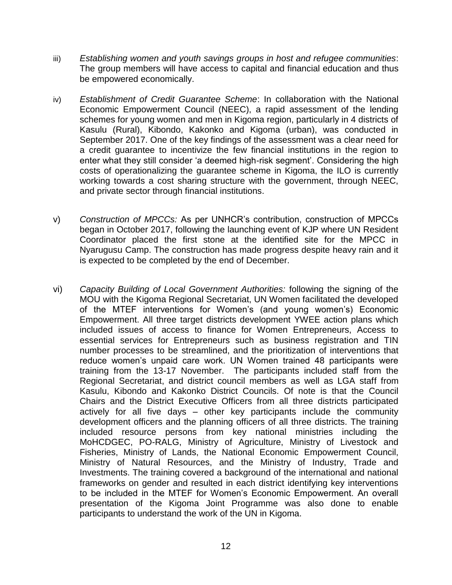- iii) *Establishing women and youth savings groups in host and refugee communities*: The group members will have access to capital and financial education and thus be empowered economically.
- iv) *Establishment of Credit Guarantee Scheme*: In collaboration with the National Economic Empowerment Council (NEEC), a rapid assessment of the lending schemes for young women and men in Kigoma region, particularly in 4 districts of Kasulu (Rural), Kibondo, Kakonko and Kigoma (urban), was conducted in September 2017. One of the key findings of the assessment was a clear need for a credit guarantee to incentivize the few financial institutions in the region to enter what they still consider 'a deemed high-risk segment'. Considering the high costs of operationalizing the guarantee scheme in Kigoma, the ILO is currently working towards a cost sharing structure with the government, through NEEC, and private sector through financial institutions.
- v) *Construction of MPCCs:* As per UNHCR's contribution, construction of MPCCs began in October 2017, following the launching event of KJP where UN Resident Coordinator placed the first stone at the identified site for the MPCC in Nyarugusu Camp. The construction has made progress despite heavy rain and it is expected to be completed by the end of December.
- vi) *Capacity Building of Local Government Authorities:* following the signing of the MOU with the Kigoma Regional Secretariat, UN Women facilitated the developed of the MTEF interventions for Women's (and young women's) Economic Empowerment. All three target districts development YWEE action plans which included issues of access to finance for Women Entrepreneurs, Access to essential services for Entrepreneurs such as business registration and TIN number processes to be streamlined, and the prioritization of interventions that reduce women's unpaid care work. UN Women trained 48 participants were training from the 13-17 November. The participants included staff from the Regional Secretariat, and district council members as well as LGA staff from Kasulu, Kibondo and Kakonko District Councils. Of note is that the Council Chairs and the District Executive Officers from all three districts participated actively for all five days – other key participants include the community development officers and the planning officers of all three districts. The training included resource persons from key national ministries including the MoHCDGEC, PO-RALG, Ministry of Agriculture, Ministry of Livestock and Fisheries, Ministry of Lands, the National Economic Empowerment Council, Ministry of Natural Resources, and the Ministry of Industry, Trade and Investments. The training covered a background of the international and national frameworks on gender and resulted in each district identifying key interventions to be included in the MTEF for Women's Economic Empowerment. An overall presentation of the Kigoma Joint Programme was also done to enable participants to understand the work of the UN in Kigoma.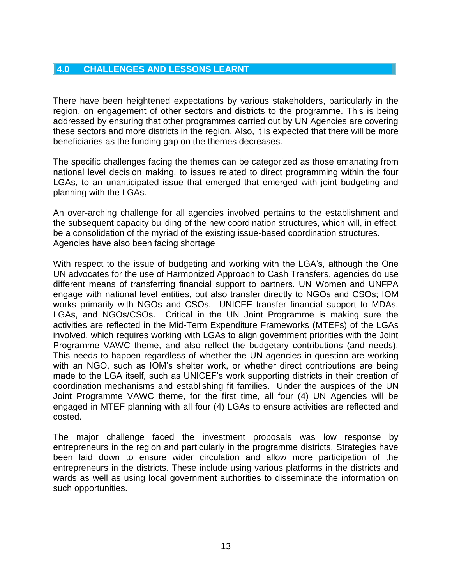#### <span id="page-13-0"></span>**4.0 CHALLENGES AND LESSONS LEARNT**

There have been heightened expectations by various stakeholders, particularly in the region, on engagement of other sectors and districts to the programme. This is being addressed by ensuring that other programmes carried out by UN Agencies are covering these sectors and more districts in the region. Also, it is expected that there will be more beneficiaries as the funding gap on the themes decreases.

The specific challenges facing the themes can be categorized as those emanating from national level decision making, to issues related to direct programming within the four LGAs, to an unanticipated issue that emerged that emerged with joint budgeting and planning with the LGAs.

An over-arching challenge for all agencies involved pertains to the establishment and the subsequent capacity building of the new coordination structures, which will, in effect, be a consolidation of the myriad of the existing issue-based coordination structures. Agencies have also been facing shortage

With respect to the issue of budgeting and working with the LGA's, although the One UN advocates for the use of Harmonized Approach to Cash Transfers, agencies do use different means of transferring financial support to partners. UN Women and UNFPA engage with national level entities, but also transfer directly to NGOs and CSOs; IOM works primarily with NGOs and CSOs. UNICEF transfer financial support to MDAs, LGAs, and NGOs/CSOs. Critical in the UN Joint Programme is making sure the activities are reflected in the Mid-Term Expenditure Frameworks (MTEFs) of the LGAs involved, which requires working with LGAs to align government priorities with the Joint Programme VAWC theme, and also reflect the budgetary contributions (and needs). This needs to happen regardless of whether the UN agencies in question are working with an NGO, such as IOM's shelter work, or whether direct contributions are being made to the LGA itself, such as UNICEF's work supporting districts in their creation of coordination mechanisms and establishing fit families. Under the auspices of the UN Joint Programme VAWC theme, for the first time, all four (4) UN Agencies will be engaged in MTEF planning with all four (4) LGAs to ensure activities are reflected and costed.

The major challenge faced the investment proposals was low response by entrepreneurs in the region and particularly in the programme districts. Strategies have been laid down to ensure wider circulation and allow more participation of the entrepreneurs in the districts. These include using various platforms in the districts and wards as well as using local government authorities to disseminate the information on such opportunities.